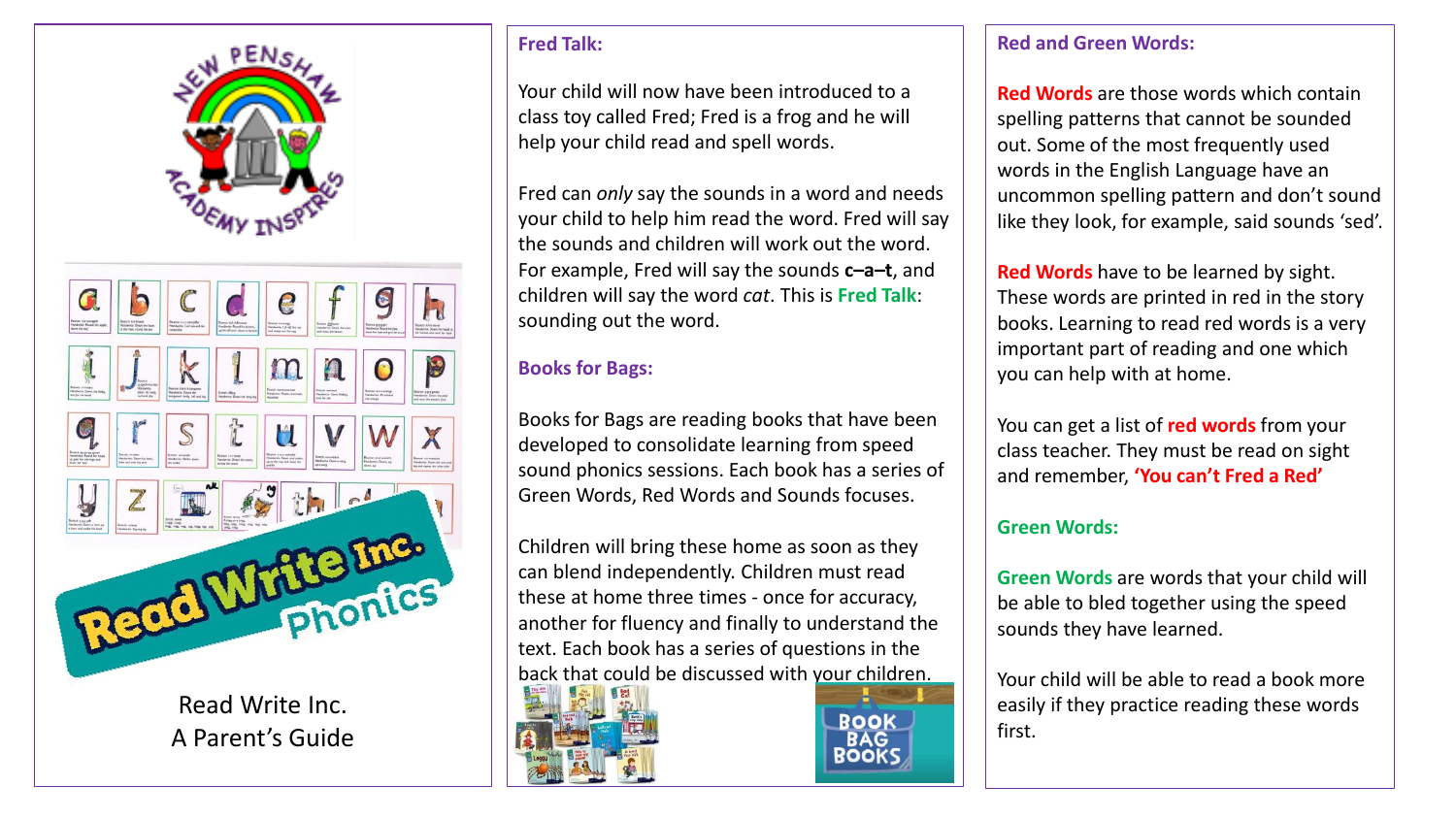



Read Write Inc. A Parent's Guide

#### **Fred Talk:**

Your child will now have been introduced to a class toy called Fred; Fred is a frog and he will help your child read and spell words.

Fred can *only* say the sounds in a word and needs your child to help him read the word. Fred will say the sounds and children will work out the word. For example, Fred will say the sounds **c–a–t**, and children will say the word *cat*. This is **Fred Talk**: sounding out the word.

## **Books for Bags:**

Books for Bags are reading books that have been developed to consolidate learning from speed sound phonics sessions. Each book has a series of Green Words, Red Words and Sounds focuses.

Children will bring these home as soon as they can blend independently. Children must read these at home three times - once for accuracy, another for fluency and finally to understand the text. Each book has a series of questions in the back that could be discussed with your children.





#### **Red and Green Words:**

**Red Words** are those words which contain spelling patterns that cannot be sounded out. Some of the most frequently used words in the English Language have an uncommon spelling pattern and don't sound like they look, for example, said sounds 'sed'.

**Red Words** have to be learned by sight. These words are printed in red in the story books. Learning to read red words is a very important part of reading and one which you can help with at home.

You can get a list of **red words** from your class teacher. They must be read on sight and remember, **'You can't Fred a Red'**

## **Green Words:**

**Green Words** are words that your child will be able to bled together using the speed sounds they have learned.

Your child will be able to read a book more easily if they practice reading these words first.